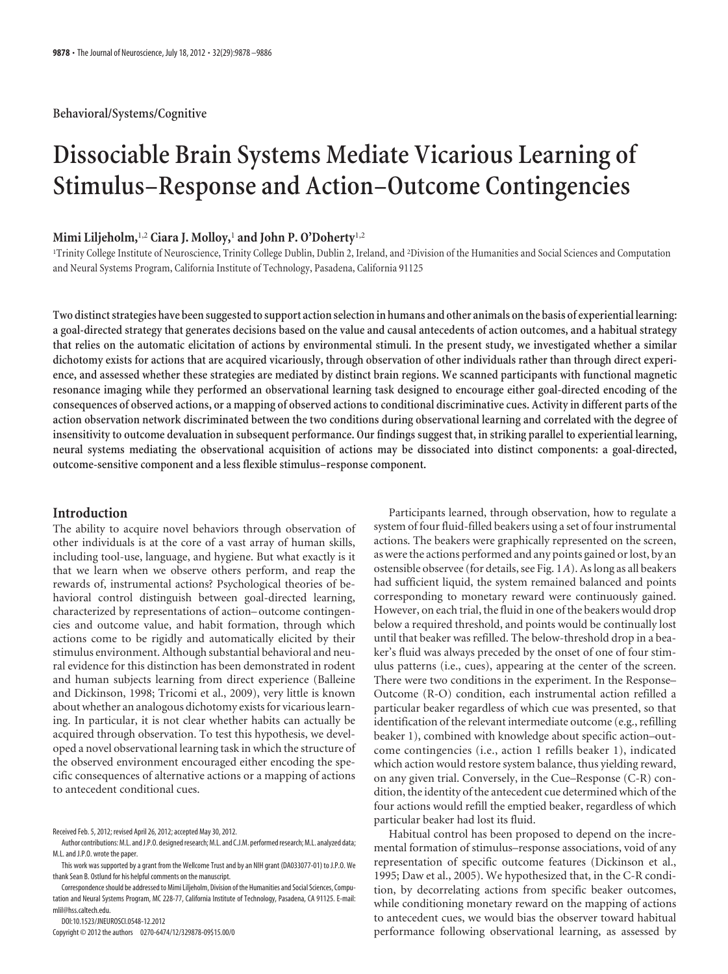# **Behavioral/Systems/Cognitive**

# **Dissociable Brain Systems Mediate Vicarious Learning of Stimulus–Response and Action–Outcome Contingencies**

# **Mimi Liljeholm,**1,2 **Ciara J. Molloy,**<sup>1</sup> **and John P. O'Doherty**1,2

<sup>1</sup>Trinity College Institute of Neuroscience, Trinity College Dublin, Dublin 2, Ireland, and <sup>2</sup>Division of the Humanities and Social Sciences and Computation and Neural Systems Program, California Institute of Technology, Pasadena, California 91125

**Two distinct strategies have been suggestedto support action selection in humans and other animals onthe basis of experiential learning: a goal-directed strategy that generates decisions based on the value and causal antecedents of action outcomes, and a habitual strategy that relies on the automatic elicitation of actions by environmental stimuli. In the present study, we investigated whether a similar dichotomy exists for actions that are acquired vicariously, through observation of other individuals rather than through direct experience, and assessed whether these strategies are mediated by distinct brain regions. We scanned participants with functional magnetic resonance imaging while they performed an observational learning task designed to encourage either goal-directed encoding of the consequences of observed actions, or a mapping of observed actions to conditional discriminative cues. Activity in different parts of the action observation network discriminated between the two conditions during observational learning and correlated with the degree of insensitivity to outcome devaluation in subsequent performance. Our findings suggest that, in striking parallel to experiential learning, neural systems mediating the observational acquisition of actions may be dissociated into distinct components: a goal-directed, outcome-sensitive component and a less flexible stimulus–response component.**

# **Introduction**

The ability to acquire novel behaviors through observation of other individuals is at the core of a vast array of human skills, including tool-use, language, and hygiene. But what exactly is it that we learn when we observe others perform, and reap the rewards of, instrumental actions? Psychological theories of behavioral control distinguish between goal-directed learning, characterized by representations of action– outcome contingencies and outcome value, and habit formation, through which actions come to be rigidly and automatically elicited by their stimulus environment. Although substantial behavioral and neural evidence for this distinction has been demonstrated in rodent and human subjects learning from direct experience (Balleine and Dickinson, 1998; Tricomi et al., 2009), very little is known about whether an analogous dichotomy exists for vicarious learning. In particular, it is not clear whether habits can actually be acquired through observation. To test this hypothesis, we developed a novel observational learning task in which the structure of the observed environment encouraged either encoding the specific consequences of alternative actions or a mapping of actions to antecedent conditional cues.

DOI:10.1523/JNEUROSCI.0548-12.2012

Copyright © 2012 the authors 0270-6474/12/329878-09\$15.00/0

Participants learned, through observation, how to regulate a system of four fluid-filled beakers using a set of four instrumental actions. The beakers were graphically represented on the screen, as were the actions performed and any points gained or lost, by an ostensible observee (for details, see Fig. 1*A*). As long as all beakers had sufficient liquid, the system remained balanced and points corresponding to monetary reward were continuously gained. However, on each trial, the fluid in one of the beakers would drop below a required threshold, and points would be continually lost until that beaker was refilled. The below-threshold drop in a beaker's fluid was always preceded by the onset of one of four stimulus patterns (i.e., cues), appearing at the center of the screen. There were two conditions in the experiment. In the Response– Outcome (R-O) condition, each instrumental action refilled a particular beaker regardless of which cue was presented, so that identification of the relevant intermediate outcome (e.g., refilling beaker 1), combined with knowledge about specific action–outcome contingencies (i.e., action 1 refills beaker 1), indicated which action would restore system balance, thus yielding reward, on any given trial. Conversely, in the Cue–Response (C-R) condition, the identity of the antecedent cue determined which of the four actions would refill the emptied beaker, regardless of which particular beaker had lost its fluid.

Habitual control has been proposed to depend on the incremental formation of stimulus–response associations, void of any representation of specific outcome features (Dickinson et al., 1995; Daw et al., 2005). We hypothesized that, in the C-R condition, by decorrelating actions from specific beaker outcomes, while conditioning monetary reward on the mapping of actions to antecedent cues, we would bias the observer toward habitual performance following observational learning, as assessed by

Received Feb. 5, 2012; revised April 26, 2012; accepted May 30, 2012.

Author contributions: M.L. and J.P.O. designed research; M.L. and C.J.M. performed research; M.L. analyzed data; M.L. and J.P.O. wrote the paper.

This work was supported by a grant from the Wellcome Trust and by an NIH grant (DA033077-01) to J.P.O. We thank Sean B. Ostlund for his helpful comments on the manuscript.

Correspondence should be addressed to Mimi Liljeholm, Division of the Humanities and Social Sciences, Computation and Neural Systems Program, MC 228-77, California Institute of Technology, Pasadena, CA 91125. E-mail: mlil@hss.caltech.edu.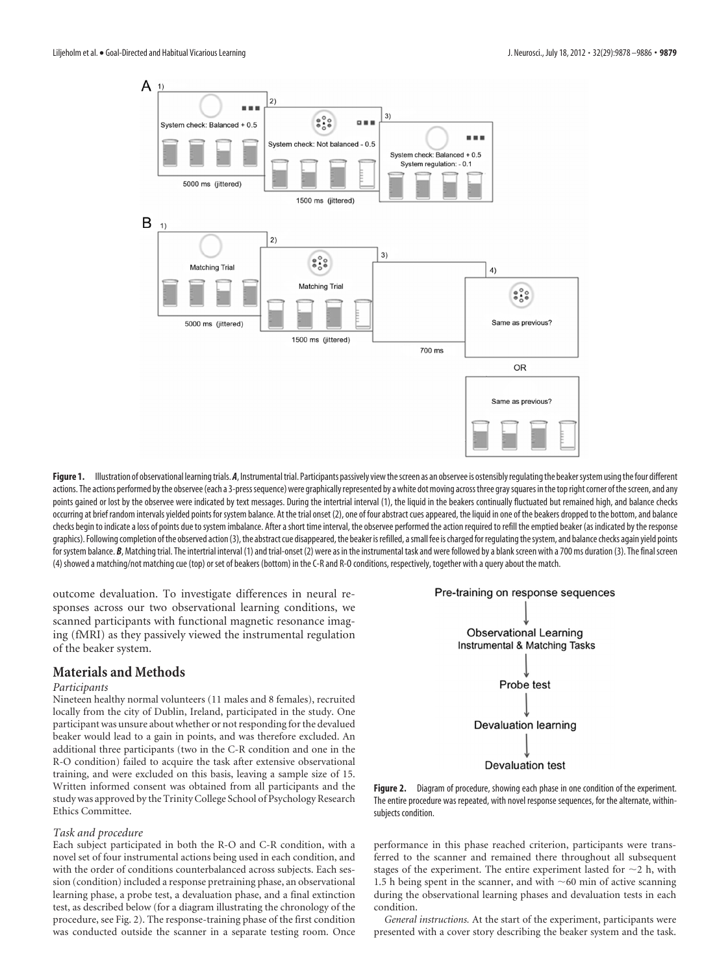

Figure 1. Illustration of observational learning trials. *A*, Instrumental trial. Participants passively view the screen as an observee is ostensibly regulating the beaker system using the four different actions. The actions performed by the observee (each a 3-press sequence) were graphically represented by a white dot moving across three gray squares in the top right corner of the screen, and any points gained or lost by the observee were indicated by text messages. During the intertrial interval (1), the liquid in the beakers continually fluctuated but remained high, and balance checks occurring at brief random intervals yielded points for system balance. At the trial onset (2), one of four abstract cues appeared, the liquid in one of the beakers dropped to the bottom, and balance checks begin to indicate a loss of points due to system imbalance. After a short time interval, the observee performed the action required to refill theemptied beaker (as indicated by the response graphics). Following completion of the observed action (3), the abstract cue disappeared, the beaker is refilled, a small fee is charged for regulating the system, and balance checks again yield points for system balance. *B*, Matching trial. The intertrial interval (1) and trial-onset (2) were as in the instrumental task and were followed by a blank screen with a 700 ms duration (3). The final screen (4) showed a matching/not matching cue (top) or set of beakers (bottom) in the C-R and R-O conditions, respectively, together with a query about the match.

outcome devaluation. To investigate differences in neural responses across our two observational learning conditions, we scanned participants with functional magnetic resonance imaging (fMRI) as they passively viewed the instrumental regulation of the beaker system.

## **Materials and Methods**

#### *Participants*

Nineteen healthy normal volunteers (11 males and 8 females), recruited locally from the city of Dublin, Ireland, participated in the study. One participant was unsure about whether or not responding for the devalued beaker would lead to a gain in points, and was therefore excluded. An additional three participants (two in the C-R condition and one in the R-O condition) failed to acquire the task after extensive observational training, and were excluded on this basis, leaving a sample size of 15. Written informed consent was obtained from all participants and the study was approved by the Trinity College School of Psychology Research Ethics Committee.

### *Task and procedure*

Each subject participated in both the R-O and C-R condition, with a novel set of four instrumental actions being used in each condition, and with the order of conditions counterbalanced across subjects. Each session (condition) included a response pretraining phase, an observational learning phase, a probe test, a devaluation phase, and a final extinction test, as described below (for a diagram illustrating the chronology of the procedure, see Fig. 2). The response-training phase of the first condition was conducted outside the scanner in a separate testing room. Once



**Figure 2.** Diagram of procedure, showing each phase in one condition of the experiment. The entire procedure was repeated, with novel response sequences, for the alternate, withinsubjects condition.

performance in this phase reached criterion, participants were transferred to the scanner and remained there throughout all subsequent stages of the experiment. The entire experiment lasted for  $\sim$  2 h, with 1.5 h being spent in the scanner, and with  $\sim$  60 min of active scanning during the observational learning phases and devaluation tests in each condition.

*General instructions.* At the start of the experiment, participants were presented with a cover story describing the beaker system and the task.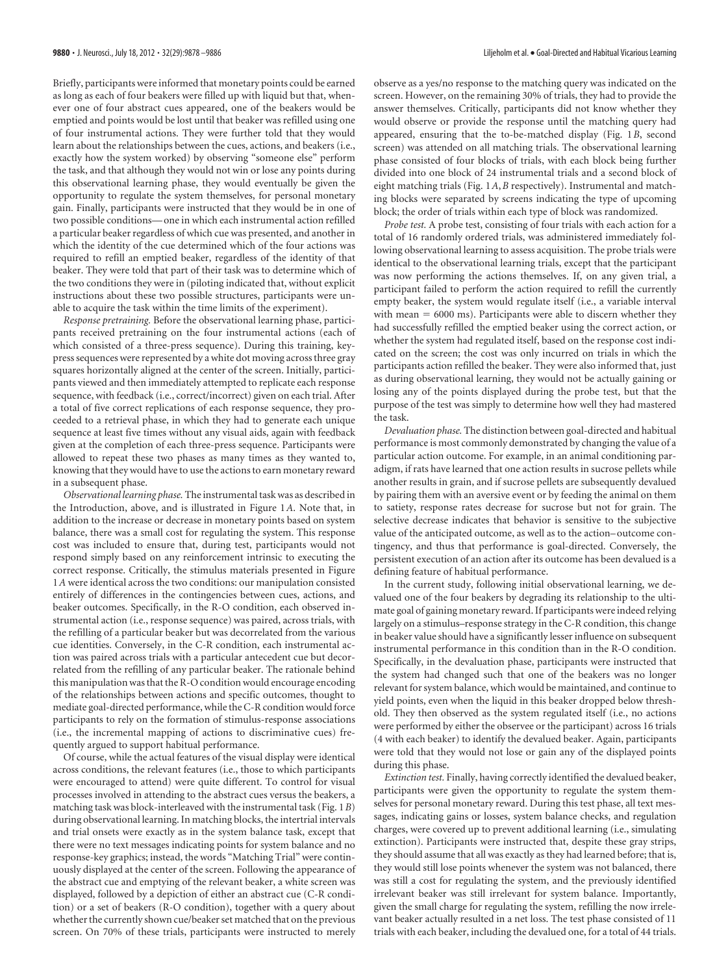Briefly, participants were informed that monetary points could be earned as long as each of four beakers were filled up with liquid but that, whenever one of four abstract cues appeared, one of the beakers would be emptied and points would be lost until that beaker was refilled using one of four instrumental actions. They were further told that they would learn about the relationships between the cues, actions, and beakers (i.e., exactly how the system worked) by observing "someone else" perform the task, and that although they would not win or lose any points during this observational learning phase, they would eventually be given the opportunity to regulate the system themselves, for personal monetary gain. Finally, participants were instructed that they would be in one of two possible conditions— one in which each instrumental action refilled a particular beaker regardless of which cue was presented, and another in which the identity of the cue determined which of the four actions was required to refill an emptied beaker, regardless of the identity of that beaker. They were told that part of their task was to determine which of the two conditions they were in (piloting indicated that, without explicit instructions about these two possible structures, participants were unable to acquire the task within the time limits of the experiment).

*Response pretraining.* Before the observational learning phase, participants received pretraining on the four instrumental actions (each of which consisted of a three-press sequence). During this training, keypress sequences were represented by a white dot moving across three gray squares horizontally aligned at the center of the screen. Initially, participants viewed and then immediately attempted to replicate each response sequence, with feedback (i.e., correct/incorrect) given on each trial. After a total of five correct replications of each response sequence, they proceeded to a retrieval phase, in which they had to generate each unique sequence at least five times without any visual aids, again with feedback given at the completion of each three-press sequence. Participants were allowed to repeat these two phases as many times as they wanted to, knowing that they would have to use the actions to earn monetary reward in a subsequent phase.

*Observational learning phase.* The instrumental task was as described in the Introduction, above, and is illustrated in Figure 1*A*. Note that, in addition to the increase or decrease in monetary points based on system balance, there was a small cost for regulating the system. This response cost was included to ensure that, during test, participants would not respond simply based on any reinforcement intrinsic to executing the correct response. Critically, the stimulus materials presented in Figure 1*A* were identical across the two conditions: our manipulation consisted entirely of differences in the contingencies between cues, actions, and beaker outcomes. Specifically, in the R-O condition, each observed instrumental action (i.e., response sequence) was paired, across trials, with the refilling of a particular beaker but was decorrelated from the various cue identities. Conversely, in the C-R condition, each instrumental action was paired across trials with a particular antecedent cue but decorrelated from the refilling of any particular beaker. The rationale behind this manipulation was that the R-O condition would encourage encoding of the relationships between actions and specific outcomes, thought to mediate goal-directed performance, while the C-R condition would force participants to rely on the formation of stimulus-response associations (i.e., the incremental mapping of actions to discriminative cues) frequently argued to support habitual performance.

Of course, while the actual features of the visual display were identical across conditions, the relevant features (i.e., those to which participants were encouraged to attend) were quite different. To control for visual processes involved in attending to the abstract cues versus the beakers, a matching task was block-interleaved with the instrumental task (Fig. 1*B*) during observational learning. In matching blocks, the intertrial intervals and trial onsets were exactly as in the system balance task, except that there were no text messages indicating points for system balance and no response-key graphics; instead, the words "Matching Trial" were continuously displayed at the center of the screen. Following the appearance of the abstract cue and emptying of the relevant beaker, a white screen was displayed, followed by a depiction of either an abstract cue (C-R condition) or a set of beakers (R-O condition), together with a query about whether the currently shown cue/beaker set matched that on the previous screen. On 70% of these trials, participants were instructed to merely

observe as a yes/no response to the matching query was indicated on the screen. However, on the remaining 30% of trials, they had to provide the answer themselves. Critically, participants did not know whether they would observe or provide the response until the matching query had appeared, ensuring that the to-be-matched display (Fig. 1*B*, second screen) was attended on all matching trials. The observational learning phase consisted of four blocks of trials, with each block being further divided into one block of 24 instrumental trials and a second block of eight matching trials (Fig. 1*A*,*B* respectively). Instrumental and matching blocks were separated by screens indicating the type of upcoming block; the order of trials within each type of block was randomized.

*Probe test.* A probe test, consisting of four trials with each action for a total of 16 randomly ordered trials, was administered immediately following observational learning to assess acquisition. The probe trials were identical to the observational learning trials, except that the participant was now performing the actions themselves. If, on any given trial, a participant failed to perform the action required to refill the currently empty beaker, the system would regulate itself (i.e., a variable interval with mean  $= 6000 \text{ ms}$ ). Participants were able to discern whether they had successfully refilled the emptied beaker using the correct action, or whether the system had regulated itself, based on the response cost indicated on the screen; the cost was only incurred on trials in which the participants action refilled the beaker. They were also informed that, just as during observational learning, they would not be actually gaining or losing any of the points displayed during the probe test, but that the purpose of the test was simply to determine how well they had mastered the task.

*Devaluation phase.* The distinction between goal-directed and habitual performance is most commonly demonstrated by changing the value of a particular action outcome. For example, in an animal conditioning paradigm, if rats have learned that one action results in sucrose pellets while another results in grain, and if sucrose pellets are subsequently devalued by pairing them with an aversive event or by feeding the animal on them to satiety, response rates decrease for sucrose but not for grain. The selective decrease indicates that behavior is sensitive to the subjective value of the anticipated outcome, as well as to the action– outcome contingency, and thus that performance is goal-directed. Conversely, the persistent execution of an action after its outcome has been devalued is a defining feature of habitual performance.

In the current study, following initial observational learning, we devalued one of the four beakers by degrading its relationship to the ultimate goal of gaining monetary reward. If participants were indeed relying largely on a stimulus–response strategy in the C-R condition, this change in beaker value should have a significantly lesser influence on subsequent instrumental performance in this condition than in the R-O condition. Specifically, in the devaluation phase, participants were instructed that the system had changed such that one of the beakers was no longer relevant for system balance, which would be maintained, and continue to yield points, even when the liquid in this beaker dropped below threshold. They then observed as the system regulated itself (i.e., no actions were performed by either the observee or the participant) across 16 trials (4 with each beaker) to identify the devalued beaker. Again, participants were told that they would not lose or gain any of the displayed points during this phase.

*Extinction test.* Finally, having correctly identified the devalued beaker, participants were given the opportunity to regulate the system themselves for personal monetary reward. During this test phase, all text messages, indicating gains or losses, system balance checks, and regulation charges, were covered up to prevent additional learning (i.e., simulating extinction). Participants were instructed that, despite these gray strips, they should assume that all was exactly as they had learned before; that is, they would still lose points whenever the system was not balanced, there was still a cost for regulating the system, and the previously identified irrelevant beaker was still irrelevant for system balance. Importantly, given the small charge for regulating the system, refilling the now irrelevant beaker actually resulted in a net loss. The test phase consisted of 11 trials with each beaker, including the devalued one, for a total of 44 trials.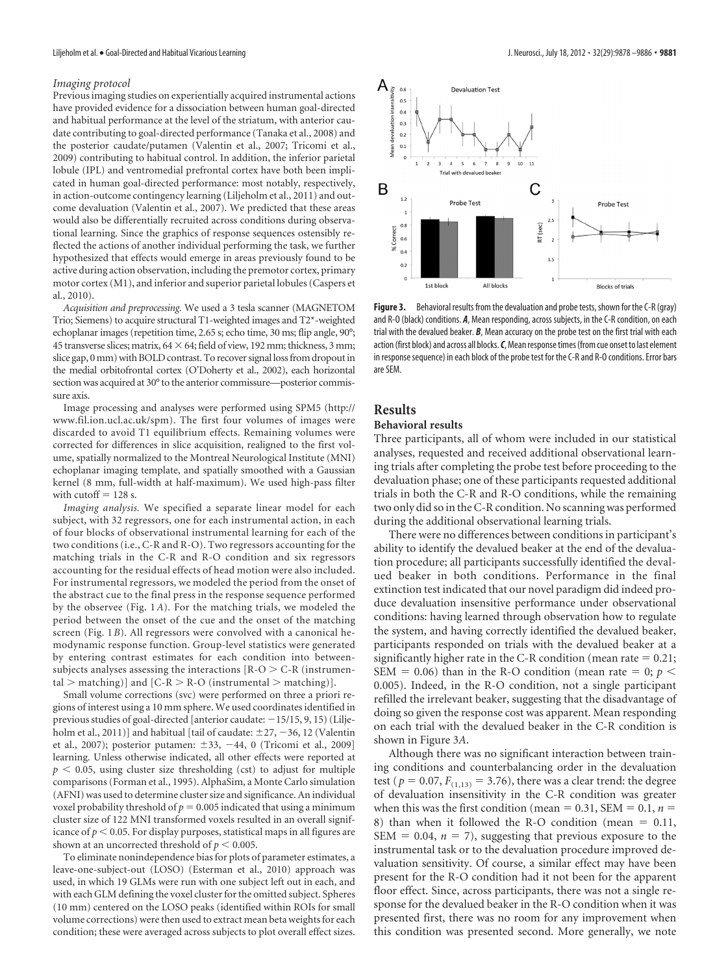#### *Imaging protocol*

Previous imaging studies on experientially acquired instrumental actions have provided evidence for a dissociation between human goal-directed and habitual performance at the level of the striatum, with anterior caudate contributing to goal-directed performance (Tanaka et al., 2008) and the posterior caudate/putamen (Valentin et al., 2007; Tricomi et al., 2009) contributing to habitual control. In addition, the inferior parietal lobule (IPL) and ventromedial prefrontal cortex have both been implicated in human goal-directed performance: most notably, respectively, in action-outcome contingency learning (Liljeholm et al., 2011) and outcome devaluation (Valentin et al., 2007). We predicted that these areas would also be differentially recruited across conditions during observational learning. Since the graphics of response sequences ostensibly reflected the actions of another individual performing the task, we further hypothesized that effects would emerge in areas previously found to be active during action observation, including the premotor cortex, primary motor cortex (M1), and inferior and superior parietal lobules (Caspers et al., 2010).

*Acquisition and preprocessing.* We used a 3 tesla scanner (MAGNETOM Trio; Siemens) to acquire structural T1-weighted images and T2\*-weighted echoplanar images (repetition time, 2.65 s; echo time, 30 ms; flip angle, 90°; 45 transverse slices; matrix,  $64 \times 64$ ; field of view, 192 mm; thickness, 3 mm; slice gap, 0 mm) with BOLD contrast. To recover signal loss from dropout in the medial orbitofrontal cortex (O'Doherty et al., 2002), each horizontal section was acquired at 30° to the anterior commissure—posterior commissure axis.

Image processing and analyses were performed using SPM5 (http:// www.fil.ion.ucl.ac.uk/spm). The first four volumes of images were discarded to avoid T1 equilibrium effects. Remaining volumes were corrected for differences in slice acquisition, realigned to the first volume, spatially normalized to the Montreal Neurological Institute (MNI) echoplanar imaging template, and spatially smoothed with a Gaussian kernel (8 mm, full-width at half-maximum). We used high-pass filter with cutoff  $= 128$  s.

*Imaging analysis.* We specified a separate linear model for each subject, with 32 regressors, one for each instrumental action, in each of four blocks of observational instrumental learning for each of the two conditions (i.e., C-R and R-O). Two regressors accounting for the matching trials in the C-R and R-O condition and six regressors accounting for the residual effects of head motion were also included. For instrumental regressors, we modeled the period from the onset of the abstract cue to the final press in the response sequence performed by the observee (Fig. 1*A*). For the matching trials, we modeled the period between the onset of the cue and the onset of the matching screen (Fig. 1*B*). All regressors were convolved with a canonical hemodynamic response function. Group-level statistics were generated by entering contrast estimates for each condition into betweensubjects analyses assessing the interactions  $[R-O > C-R$  (instrumental  $>$  matching)] and [C-R  $>$  R-O (instrumental  $>$  matching)].

Small volume corrections (svc) were performed on three a priori regions of interest using a 10 mm sphere. We used coordinates identified in previous studies of goal-directed [anterior caudate:  $-15/15$ , 9, 15) (Liljeholm et al., 2011)] and habitual [tail of caudate:  $\pm 27, -36, 12$  (Valentin et al., 2007); posterior putamen:  $\pm 33$ ,  $-44$ , 0 (Tricomi et al., 2009] learning. Unless otherwise indicated, all other effects were reported at  $p < 0.05$ , using cluster size thresholding (cst) to adjust for multiple comparisons (Forman et al., 1995). AlphaSim, a Monte Carlo simulation (AFNI) was used to determine cluster size and significance. An individual voxel probability threshold of  $p = 0.005$  indicated that using a minimum cluster size of 122 MNI transformed voxels resulted in an overall significance of  $p < 0.05$ . For display purposes, statistical maps in all figures are shown at an uncorrected threshold of  $p < 0.005$ .

To eliminate nonindependence bias for plots of parameter estimates, a leave-one-subject-out (LOSO) (Esterman et al., 2010) approach was used, in which 19 GLMs were run with one subject left out in each, and with each GLM defining the voxel cluster for the omitted subject. Spheres (10 mm) centered on the LOSO peaks (identified within ROIs for small volume corrections) were then used to extract mean beta weights for each condition; these were averaged across subjects to plot overall effect sizes.



**Figure 3.** Behavioral results from the devaluation and probe tests, shown for the C-R (gray) and R-O (black) conditions. *A*, Mean responding, across subjects, in the C-R condition, on each trial with the devalued beaker. *B*, Mean accuracy on the probe test on the first trial with each action (first block) and across all blocks. C, Mean response times (from cue onset to last element in response sequence) in each block of the probe test for the C-R and R-O conditions. Error bars are SEM.

# **Results**

# **Behavioral results**

Three participants, all of whom were included in our statistical analyses, requested and received additional observational learning trials after completing the probe test before proceeding to the devaluation phase; one of these participants requested additional trials in both the C-R and R-O conditions, while the remaining two only did so in the C-R condition. No scanning was performed during the additional observational learning trials.

There were no differences between conditions in participant's ability to identify the devalued beaker at the end of the devaluation procedure; all participants successfully identified the devalued beaker in both conditions. Performance in the final extinction test indicated that our novel paradigm did indeed produce devaluation insensitive performance under observational conditions: having learned through observation how to regulate the system, and having correctly identified the devalued beaker, participants responded on trials with the devalued beaker at a significantly higher rate in the C-R condition (mean rate  $= 0.21$ ; SEM = 0.06) than in the R-O condition (mean rate = 0;  $p$  < 0.005). Indeed, in the R-O condition, not a single participant refilled the irrelevant beaker, suggesting that the disadvantage of doing so given the response cost was apparent. Mean responding on each trial with the devalued beaker in the C-R condition is shown in Figure 3*A*.

Although there was no significant interaction between training conditions and counterbalancing order in the devaluation test ( $p = 0.07$ ,  $F_{(1,13)} = 3.76$ ), there was a clear trend: the degree of devaluation insensitivity in the C-R condition was greater when this was the first condition (mean  $= 0.31$ , SEM  $= 0.1$ ,  $n =$ 8) than when it followed the R-O condition (mean  $= 0.11$ , SEM  $= 0.04$ ,  $n = 7$ ), suggesting that previous exposure to the instrumental task or to the devaluation procedure improved devaluation sensitivity. Of course, a similar effect may have been present for the R-O condition had it not been for the apparent floor effect. Since, across participants, there was not a single response for the devalued beaker in the R-O condition when it was presented first, there was no room for any improvement when this condition was presented second. More generally, we note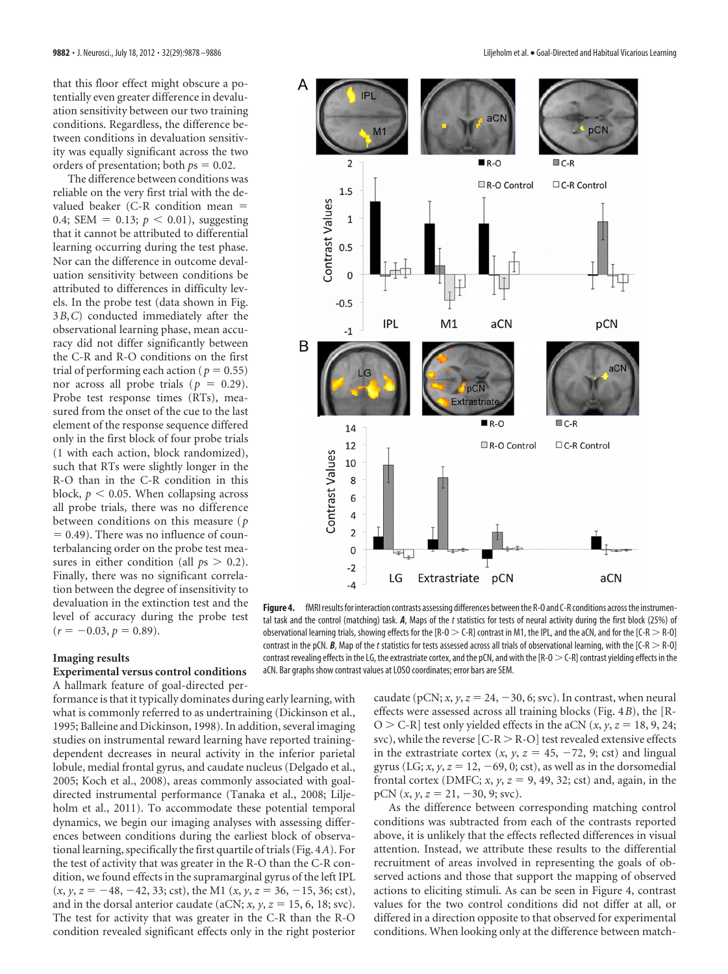that this floor effect might obscure a potentially even greater difference in devaluation sensitivity between our two training conditions. Regardless, the difference between conditions in devaluation sensitivity was equally significant across the two orders of presentation; both  $ps = 0.02$ .

The difference between conditions was reliable on the very first trial with the devalued beaker (C-R condition mean = 0.4; SEM =  $0.13$ ;  $p < 0.01$ ), suggesting that it cannot be attributed to differential learning occurring during the test phase. Nor can the difference in outcome devaluation sensitivity between conditions be attributed to differences in difficulty levels. In the probe test (data shown in Fig. 3*B*,*C*) conducted immediately after the observational learning phase, mean accuracy did not differ significantly between the C-R and R-O conditions on the first trial of performing each action ( $p = 0.55$ ) nor across all probe trials ( $p = 0.29$ ). Probe test response times (RTs), measured from the onset of the cue to the last element of the response sequence differed only in the first block of four probe trials (1 with each action, block randomized), such that RTs were slightly longer in the R-O than in the C-R condition in this block,  $p < 0.05$ . When collapsing across all probe trials, there was no difference between conditions on this measure (*p* - 0.49). There was no influence of counterbalancing order on the probe test measures in either condition (all  $ps > 0.2$ ). Finally, there was no significant correlation between the degree of insensitivity to devaluation in the extinction test and the level of accuracy during the probe test  $(r = -0.03, p = 0.89).$ 

## **Imaging results**

## **Experimental versus control conditions** A hallmark feature of goal-directed per-

formance is that it typically dominates during early learning, with

what is commonly referred to as undertraining (Dickinson et al., 1995; Balleine and Dickinson, 1998). In addition, several imaging studies on instrumental reward learning have reported trainingdependent decreases in neural activity in the inferior parietal lobule, medial frontal gyrus, and caudate nucleus (Delgado et al., 2005; Koch et al., 2008), areas commonly associated with goaldirected instrumental performance (Tanaka et al., 2008; Liljeholm et al., 2011). To accommodate these potential temporal dynamics, we begin our imaging analyses with assessing differences between conditions during the earliest block of observational learning, specifically the first quartile of trials (Fig. 4*A*). For the test of activity that was greater in the R-O than the C-R condition, we found effects in the supramarginal gyrus of the left IPL  $(x, y, z = -48, -42, 33; \text{cst})$ , the M1  $(x, y, z = 36, -15, 36; \text{cst})$ , and in the dorsal anterior caudate (aCN;  $x$ ,  $y$ ,  $z = 15$ , 6, 18; svc). The test for activity that was greater in the C-R than the R-O condition revealed significant effects only in the right posterior



Figure 4. fMRI results for interaction contrasts assessing differences between the R-O and C-R conditions across the instrumental task and the control (matching) task. *A*, Maps of the *t* statistics for tests of neural activity during the first block (25%) of observational learning trials, showing effects for the  $[R-O > C-R]$  contrast in M1, the IPL, and the aCN, and for the  $[C-R > R-O]$ contrast in the pCN. **B**, Map of the *t* statistics for tests assessed across all trials of observational learning, with the  $[C-R \geq R-0]$ contrast revealing effects in the LG, the extrastriate cortex, and the pCN, and with the  $[R-O > C-R]$  contrast yielding effects in the aCN. Bar graphs show contrast values at LOSO coordinates; error bars are SEM.

caudate (pCN;  $x$ ,  $y$ ,  $z = 24, -30, 6$ ; svc). In contrast, when neural effects were assessed across all training blocks (Fig. 4*B*), the [R- $O > C-R$  test only yielded effects in the aCN  $(x, y, z = 18, 9, 24;$ svc), while the reverse  $[C-R > R-O]$  test revealed extensive effects in the extrastriate cortex  $(x, y, z = 45, -72, 9; \text{cst})$  and lingual gyrus (LG;  $x, y, z = 12, -69, 0$ ; cst), as well as in the dorsomedial frontal cortex (DMFC;  $x$ ,  $y$ ,  $z = 9$ , 49, 32; cst) and, again, in the pCN  $(x, y, z = 21, -30, 9; \text{src})$ .

As the difference between corresponding matching control conditions was subtracted from each of the contrasts reported above, it is unlikely that the effects reflected differences in visual attention. Instead, we attribute these results to the differential recruitment of areas involved in representing the goals of observed actions and those that support the mapping of observed actions to eliciting stimuli. As can be seen in Figure 4, contrast values for the two control conditions did not differ at all, or differed in a direction opposite to that observed for experimental conditions. When looking only at the difference between match-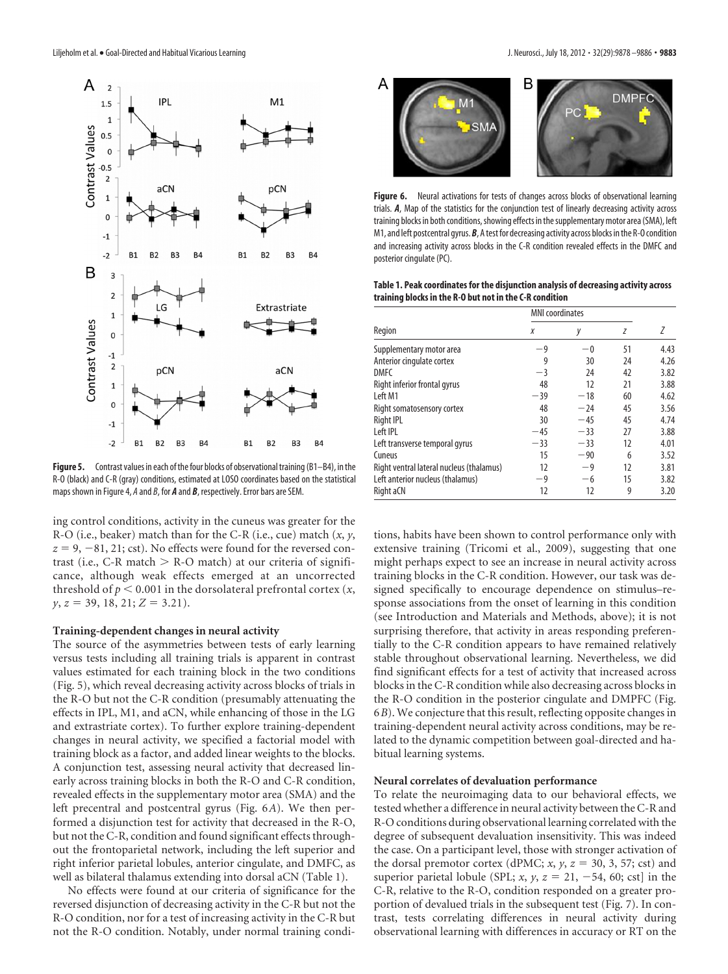

Figure 5. Contrast values in each of the four blocks of observational training (B1-B4), in the R-O (black) and C-R (gray) conditions, estimated at LOSO coordinates based on the statistical maps shown in Figure 4, *A* and *B*, for *A* and *B*, respectively. Error bars are SEM.

ing control conditions, activity in the cuneus was greater for the R-O (i.e., beaker) match than for the C-R (i.e., cue) match (*x*, *y*,  $z = 9, -81, 21$ ; cst). No effects were found for the reversed contrast (i.e., C-R match  $>$  R-O match) at our criteria of significance, although weak effects emerged at an uncorrected threshold of  $p < 0.001$  in the dorsolateral prefrontal cortex  $(x,$  $y, z = 39, 18, 21; Z = 3.21$ .

## **Training-dependent changes in neural activity**

The source of the asymmetries between tests of early learning versus tests including all training trials is apparent in contrast values estimated for each training block in the two conditions (Fig. 5), which reveal decreasing activity across blocks of trials in the R-O but not the C-R condition (presumably attenuating the effects in IPL, M1, and aCN, while enhancing of those in the LG and extrastriate cortex). To further explore training-dependent changes in neural activity, we specified a factorial model with training block as a factor, and added linear weights to the blocks. A conjunction test, assessing neural activity that decreased linearly across training blocks in both the R-O and C-R condition, revealed effects in the supplementary motor area (SMA) and the left precentral and postcentral gyrus (Fig. 6*A*). We then performed a disjunction test for activity that decreased in the R-O, but not the C-R, condition and found significant effects throughout the frontoparietal network, including the left superior and right inferior parietal lobules, anterior cingulate, and DMFC, as well as bilateral thalamus extending into dorsal aCN (Table 1).

No effects were found at our criteria of significance for the reversed disjunction of decreasing activity in the C-R but not the R-O condition, nor for a test of increasing activity in the C-R but not the R-O condition. Notably, under normal training condi-



**Figure 6.** Neural activations for tests of changes across blocks of observational learning trials. *A*, Map of the statistics for the conjunction test of linearly decreasing activity across training blocks in both conditions, showing effects in the supplementary motor area (SMA), left M1, and left postcentral gyrus.*B*, Atest for decreasing activity across blocks inthe R-O condition and increasing activity across blocks in the C-R condition revealed effects in the DMFC and posterior cingulate (PC).

## **Table 1. Peak coordinates for the disjunction analysis of decreasing activity across training blocks in the R-O but not in the C-R condition**

| Region                                   | <b>MNI</b> coordinates |       |    |      |
|------------------------------------------|------------------------|-------|----|------|
|                                          | X                      | у     | Z  | Z    |
| Supplementary motor area                 | $-9$                   | $-0$  | 51 | 4.43 |
| Anterior cingulate cortex                | 9                      | 30    | 24 | 4.26 |
| <b>DMFC</b>                              | $-3$                   | 24    | 42 | 3.82 |
| Right inferior frontal gyrus             | 48                     | 12    | 21 | 3.88 |
| Left M1                                  | $-39$                  | $-18$ | 60 | 4.62 |
| Right somatosensory cortex               | 48                     | $-24$ | 45 | 3.56 |
| Right IPL                                | 30                     | $-45$ | 45 | 4.74 |
| Left IPL                                 | $-45$                  | $-33$ | 27 | 3.88 |
| Left transverse temporal gyrus           | $-33$                  | $-33$ | 12 | 4.01 |
| Cuneus                                   | 15                     | $-90$ | 6  | 3.52 |
| Right ventral lateral nucleus (thalamus) | 12                     | $-9$  | 12 | 3.81 |
| Left anterior nucleus (thalamus)         | $-9$                   | $-6$  | 15 | 3.82 |
| Right aCN                                | 12                     | 12    | 9  | 3.20 |

tions, habits have been shown to control performance only with extensive training (Tricomi et al., 2009), suggesting that one might perhaps expect to see an increase in neural activity across training blocks in the C-R condition. However, our task was designed specifically to encourage dependence on stimulus–response associations from the onset of learning in this condition (see Introduction and Materials and Methods, above); it is not surprising therefore, that activity in areas responding preferentially to the C-R condition appears to have remained relatively stable throughout observational learning. Nevertheless, we did find significant effects for a test of activity that increased across blocks in the C-R condition while also decreasing across blocks in the R-O condition in the posterior cingulate and DMPFC (Fig. 6*B*). We conjecture that this result, reflecting opposite changes in training-dependent neural activity across conditions, may be related to the dynamic competition between goal-directed and habitual learning systems.

## **Neural correlates of devaluation performance**

To relate the neuroimaging data to our behavioral effects, we tested whether a difference in neural activity between the C-R and R-O conditions during observational learning correlated with the degree of subsequent devaluation insensitivity. This was indeed the case. On a participant level, those with stronger activation of the dorsal premotor cortex ( $dPMC$ ;  $x, y, z = 30, 3, 57$ ; cst) and superior parietal lobule (SPL;  $x$ ,  $y$ ,  $z = 21$ ,  $-54$ , 60; cst] in the C-R, relative to the R-O, condition responded on a greater proportion of devalued trials in the subsequent test (Fig. 7). In contrast, tests correlating differences in neural activity during observational learning with differences in accuracy or RT on the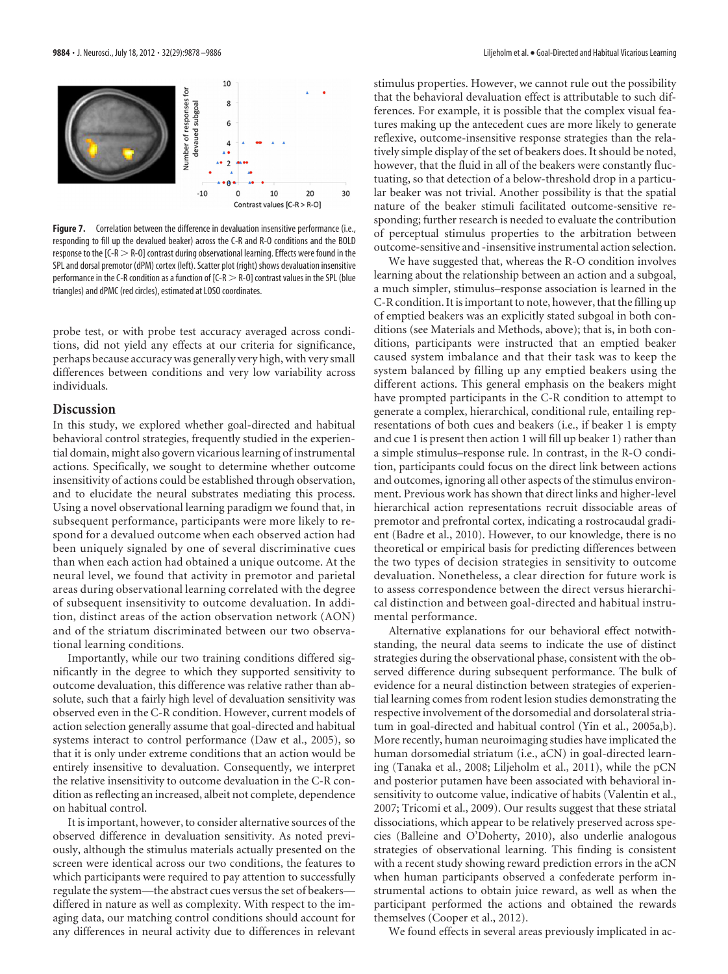

Figure 7. Correlation between the difference in devaluation insensitive performance (i.e., responding to fill up the devalued beaker) across the C-R and R-O conditions and the BOLD response to the  $[**C-R** > R-O]$  contrast during observational learning. Effects were found in the SPL and dorsal premotor (dPM) cortex (left). Scatter plot (right) shows devaluation insensitive performance in the C-R condition as a function of  $[C-R > R-0]$  contrast values in the SPL (blue triangles) and dPMC (red circles), estimated at LOSO coordinates.

probe test, or with probe test accuracy averaged across conditions, did not yield any effects at our criteria for significance, perhaps because accuracy was generally very high, with very small differences between conditions and very low variability across individuals.

## **Discussion**

In this study, we explored whether goal-directed and habitual behavioral control strategies, frequently studied in the experiential domain, might also govern vicarious learning of instrumental actions. Specifically, we sought to determine whether outcome insensitivity of actions could be established through observation, and to elucidate the neural substrates mediating this process. Using a novel observational learning paradigm we found that, in subsequent performance, participants were more likely to respond for a devalued outcome when each observed action had been uniquely signaled by one of several discriminative cues than when each action had obtained a unique outcome. At the neural level, we found that activity in premotor and parietal areas during observational learning correlated with the degree of subsequent insensitivity to outcome devaluation. In addition, distinct areas of the action observation network (AON) and of the striatum discriminated between our two observational learning conditions.

Importantly, while our two training conditions differed significantly in the degree to which they supported sensitivity to outcome devaluation, this difference was relative rather than absolute, such that a fairly high level of devaluation sensitivity was observed even in the C-R condition. However, current models of action selection generally assume that goal-directed and habitual systems interact to control performance (Daw et al., 2005), so that it is only under extreme conditions that an action would be entirely insensitive to devaluation. Consequently, we interpret the relative insensitivity to outcome devaluation in the C-R condition as reflecting an increased, albeit not complete, dependence on habitual control.

It is important, however, to consider alternative sources of the observed difference in devaluation sensitivity. As noted previously, although the stimulus materials actually presented on the screen were identical across our two conditions, the features to which participants were required to pay attention to successfully regulate the system—the abstract cues versus the set of beakers differed in nature as well as complexity. With respect to the imaging data, our matching control conditions should account for any differences in neural activity due to differences in relevant stimulus properties. However, we cannot rule out the possibility that the behavioral devaluation effect is attributable to such differences. For example, it is possible that the complex visual features making up the antecedent cues are more likely to generate reflexive, outcome-insensitive response strategies than the relatively simple display of the set of beakers does. It should be noted, however, that the fluid in all of the beakers were constantly fluctuating, so that detection of a below-threshold drop in a particular beaker was not trivial. Another possibility is that the spatial nature of the beaker stimuli facilitated outcome-sensitive responding; further research is needed to evaluate the contribution of perceptual stimulus properties to the arbitration between outcome-sensitive and -insensitive instrumental action selection.

We have suggested that, whereas the R-O condition involves learning about the relationship between an action and a subgoal, a much simpler, stimulus–response association is learned in the C-R condition. It is important to note, however, that the filling up of emptied beakers was an explicitly stated subgoal in both conditions (see Materials and Methods, above); that is, in both conditions, participants were instructed that an emptied beaker caused system imbalance and that their task was to keep the system balanced by filling up any emptied beakers using the different actions. This general emphasis on the beakers might have prompted participants in the C-R condition to attempt to generate a complex, hierarchical, conditional rule, entailing representations of both cues and beakers (i.e., if beaker 1 is empty and cue 1 is present then action 1 will fill up beaker 1) rather than a simple stimulus–response rule. In contrast, in the R-O condition, participants could focus on the direct link between actions and outcomes, ignoring all other aspects of the stimulus environment. Previous work has shown that direct links and higher-level hierarchical action representations recruit dissociable areas of premotor and prefrontal cortex, indicating a rostrocaudal gradient (Badre et al., 2010). However, to our knowledge, there is no theoretical or empirical basis for predicting differences between the two types of decision strategies in sensitivity to outcome devaluation. Nonetheless, a clear direction for future work is to assess correspondence between the direct versus hierarchical distinction and between goal-directed and habitual instrumental performance.

Alternative explanations for our behavioral effect notwithstanding, the neural data seems to indicate the use of distinct strategies during the observational phase, consistent with the observed difference during subsequent performance. The bulk of evidence for a neural distinction between strategies of experiential learning comes from rodent lesion studies demonstrating the respective involvement of the dorsomedial and dorsolateral striatum in goal-directed and habitual control (Yin et al., 2005a,b). More recently, human neuroimaging studies have implicated the human dorsomedial striatum (i.e., aCN) in goal-directed learning (Tanaka et al., 2008; Liljeholm et al., 2011), while the pCN and posterior putamen have been associated with behavioral insensitivity to outcome value, indicative of habits (Valentin et al., 2007; Tricomi et al., 2009). Our results suggest that these striatal dissociations, which appear to be relatively preserved across species (Balleine and O'Doherty, 2010), also underlie analogous strategies of observational learning. This finding is consistent with a recent study showing reward prediction errors in the aCN when human participants observed a confederate perform instrumental actions to obtain juice reward, as well as when the participant performed the actions and obtained the rewards themselves (Cooper et al., 2012).

We found effects in several areas previously implicated in ac-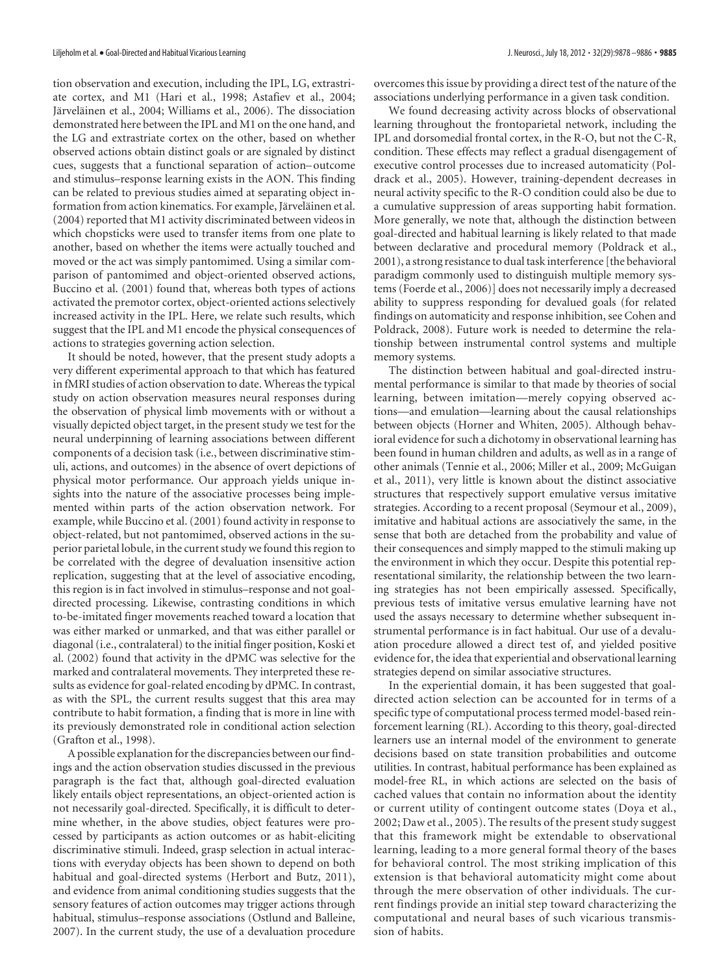tion observation and execution, including the IPL, LG, extrastriate cortex, and M1 (Hari et al., 1998; Astafiev et al., 2004; Järveläinen et al., 2004; Williams et al., 2006). The dissociation demonstrated here between the IPL and M1 on the one hand, and the LG and extrastriate cortex on the other, based on whether observed actions obtain distinct goals or are signaled by distinct cues, suggests that a functional separation of action– outcome and stimulus–response learning exists in the AON. This finding can be related to previous studies aimed at separating object information from action kinematics. For example, Järveläinen et al. (2004) reported that M1 activity discriminated between videos in which chopsticks were used to transfer items from one plate to another, based on whether the items were actually touched and moved or the act was simply pantomimed. Using a similar comparison of pantomimed and object-oriented observed actions, Buccino et al. (2001) found that, whereas both types of actions activated the premotor cortex, object-oriented actions selectively increased activity in the IPL. Here, we relate such results, which suggest that the IPL and M1 encode the physical consequences of actions to strategies governing action selection.

It should be noted, however, that the present study adopts a very different experimental approach to that which has featured in fMRI studies of action observation to date. Whereas the typical study on action observation measures neural responses during the observation of physical limb movements with or without a visually depicted object target, in the present study we test for the neural underpinning of learning associations between different components of a decision task (i.e., between discriminative stimuli, actions, and outcomes) in the absence of overt depictions of physical motor performance. Our approach yields unique insights into the nature of the associative processes being implemented within parts of the action observation network. For example, while Buccino et al. (2001) found activity in response to object-related, but not pantomimed, observed actions in the superior parietal lobule, in the current study we found this region to be correlated with the degree of devaluation insensitive action replication, suggesting that at the level of associative encoding, this region is in fact involved in stimulus–response and not goaldirected processing. Likewise, contrasting conditions in which to-be-imitated finger movements reached toward a location that was either marked or unmarked, and that was either parallel or diagonal (i.e., contralateral) to the initial finger position, Koski et al. (2002) found that activity in the dPMC was selective for the marked and contralateral movements. They interpreted these results as evidence for goal-related encoding by dPMC. In contrast, as with the SPL, the current results suggest that this area may contribute to habit formation, a finding that is more in line with its previously demonstrated role in conditional action selection (Grafton et al., 1998).

A possible explanation for the discrepancies between our findings and the action observation studies discussed in the previous paragraph is the fact that, although goal-directed evaluation likely entails object representations, an object-oriented action is not necessarily goal-directed. Specifically, it is difficult to determine whether, in the above studies, object features were processed by participants as action outcomes or as habit-eliciting discriminative stimuli. Indeed, grasp selection in actual interactions with everyday objects has been shown to depend on both habitual and goal-directed systems (Herbort and Butz, 2011), and evidence from animal conditioning studies suggests that the sensory features of action outcomes may trigger actions through habitual, stimulus–response associations (Ostlund and Balleine, 2007). In the current study, the use of a devaluation procedure overcomes this issue by providing a direct test of the nature of the associations underlying performance in a given task condition.

We found decreasing activity across blocks of observational learning throughout the frontoparietal network, including the IPL and dorsomedial frontal cortex, in the R-O, but not the C-R, condition. These effects may reflect a gradual disengagement of executive control processes due to increased automaticity (Poldrack et al., 2005). However, training-dependent decreases in neural activity specific to the R-O condition could also be due to a cumulative suppression of areas supporting habit formation. More generally, we note that, although the distinction between goal-directed and habitual learning is likely related to that made between declarative and procedural memory (Poldrack et al., 2001), a strong resistance to dual task interference [the behavioral paradigm commonly used to distinguish multiple memory systems (Foerde et al., 2006)] does not necessarily imply a decreased ability to suppress responding for devalued goals (for related findings on automaticity and response inhibition, see Cohen and Poldrack, 2008). Future work is needed to determine the relationship between instrumental control systems and multiple memory systems.

The distinction between habitual and goal-directed instrumental performance is similar to that made by theories of social learning, between imitation—merely copying observed actions—and emulation—learning about the causal relationships between objects (Horner and Whiten, 2005). Although behavioral evidence for such a dichotomy in observational learning has been found in human children and adults, as well as in a range of other animals (Tennie et al., 2006; Miller et al., 2009; McGuigan et al., 2011), very little is known about the distinct associative structures that respectively support emulative versus imitative strategies. According to a recent proposal (Seymour et al., 2009), imitative and habitual actions are associatively the same, in the sense that both are detached from the probability and value of their consequences and simply mapped to the stimuli making up the environment in which they occur. Despite this potential representational similarity, the relationship between the two learning strategies has not been empirically assessed. Specifically, previous tests of imitative versus emulative learning have not used the assays necessary to determine whether subsequent instrumental performance is in fact habitual. Our use of a devaluation procedure allowed a direct test of, and yielded positive evidence for, the idea that experiential and observational learning strategies depend on similar associative structures.

In the experiential domain, it has been suggested that goaldirected action selection can be accounted for in terms of a specific type of computational process termed model-based reinforcement learning (RL). According to this theory, goal-directed learners use an internal model of the environment to generate decisions based on state transition probabilities and outcome utilities. In contrast, habitual performance has been explained as model-free RL, in which actions are selected on the basis of cached values that contain no information about the identity or current utility of contingent outcome states (Doya et al., 2002; Daw et al., 2005). The results of the present study suggest that this framework might be extendable to observational learning, leading to a more general formal theory of the bases for behavioral control. The most striking implication of this extension is that behavioral automaticity might come about through the mere observation of other individuals. The current findings provide an initial step toward characterizing the computational and neural bases of such vicarious transmission of habits.